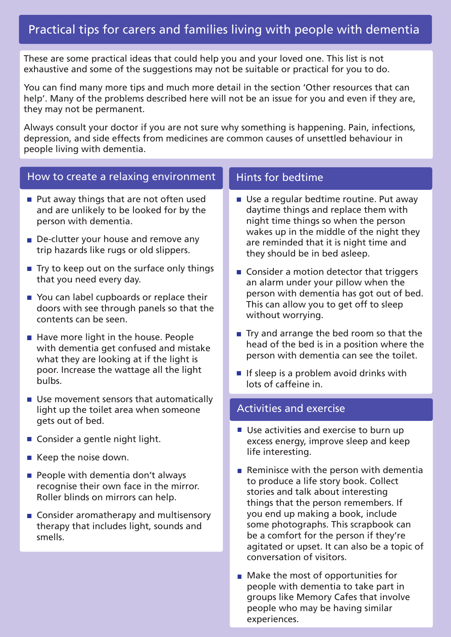# Practical tips for carers and families living with people with dementia

These are some practical ideas that could help you and your loved one. This list is not exhaustive and some of the suggestions may not be suitable or practical for you to do.

You can find many more tips and much more detail in the section 'Other resources that can help'. Many of the problems described here will not be an issue for you and even if they are, they may not be permanent.

Always consult your doctor if you are not sure why something is happening. Pain, infections, depression, and side effects from medicines are common causes of unsettled behaviour in people living with dementia.

#### How to create a relaxing environment

- $\blacksquare$  Put away things that are not often used and are unlikely to be looked for by the person with dementia.
- De-clutter your house and remove any trip hazards like rugs or old slippers.
- $\blacksquare$  Try to keep out on the surface only things that you need every day.
- You can label cupboards or replace their doors with see through panels so that the contents can be seen.
- $\blacksquare$  Have more light in the house. People with dementia get confused and mistake what they are looking at if the light is poor. Increase the wattage all the light bulbs.
- Use movement sensors that automatically light up the toilet area when someone gets out of bed.
- Consider a gentle night light.
- Keep the noise down.
- $\blacksquare$  People with dementia don't always recognise their own face in the mirror. Roller blinds on mirrors can help.
- Consider aromatherapy and multisensory therapy that includes light, sounds and smells.

#### Hints for bedtime

- Use a regular bedtime routine. Put away daytime things and replace them with night time things so when the person wakes up in the middle of the night they are reminded that it is night time and they should be in bed asleep.
- $\blacksquare$  Consider a motion detector that triggers an alarm under your pillow when the person with dementia has got out of bed. This can allow you to get off to sleep without worrying.
- $\blacksquare$  Try and arrange the bed room so that the head of the bed is in a position where the person with dementia can see the toilet.
- If sleep is a problem avoid drinks with lots of caffeine in.

#### Activities and exercise

- Use activities and exercise to burn up excess energy, improve sleep and keep life interesting.
- Reminisce with the person with dementia to produce a life story book. Collect stories and talk about interesting things that the person remembers. If you end up making a book, include some photographs. This scrapbook can be a comfort for the person if they're agitated or upset. It can also be a topic of conversation of visitors.
- **Make the most of opportunities for** people with dementia to take part in groups like Memory Cafes that involve people who may be having similar experiences.